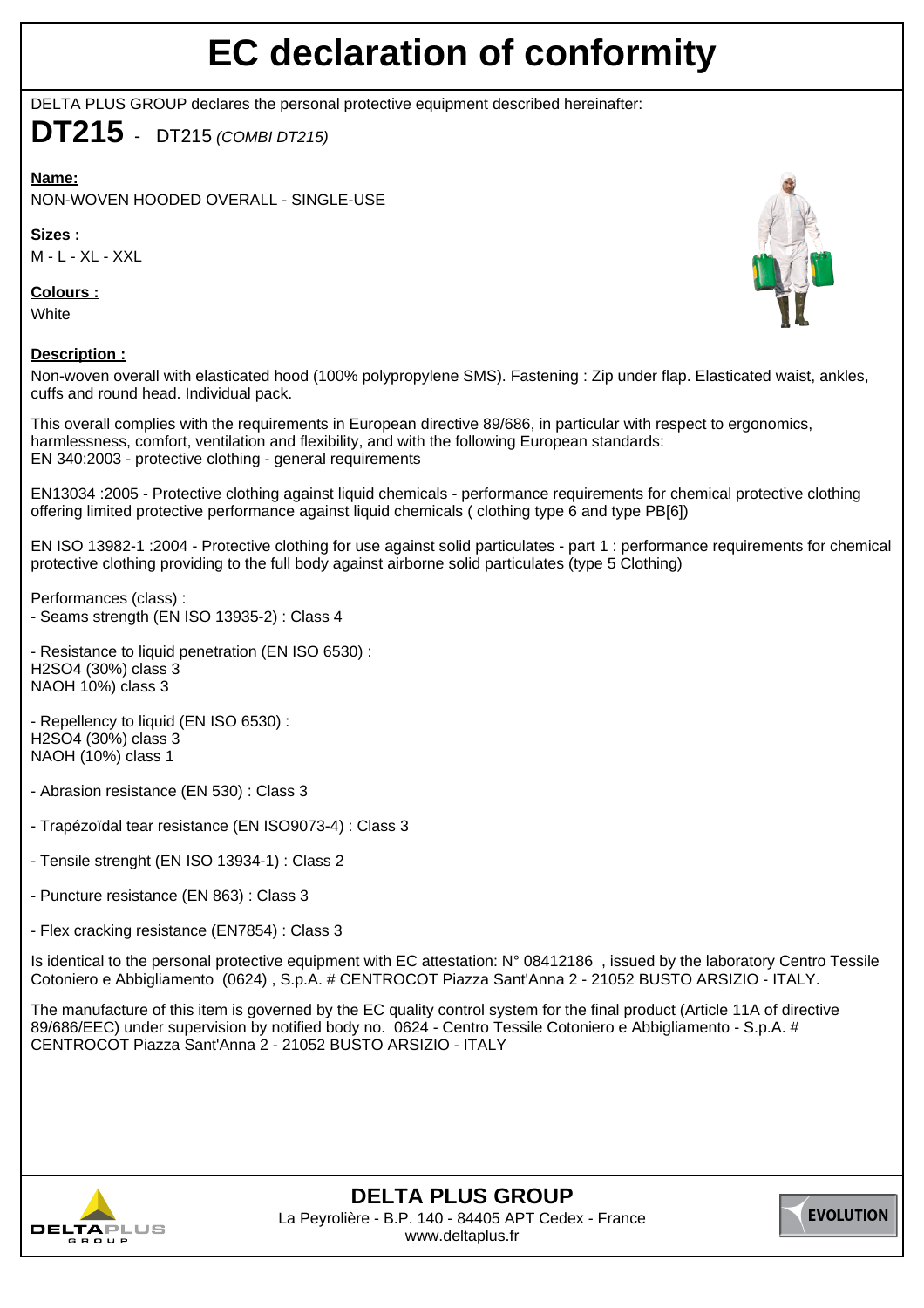## **EC declaration of conformity**

DELTA PLUS GROUP declares the personal protective equipment described hereinafter:

**DT215** - DT215 (COMBI DT215)

**Name:**

NON-WOVEN HOODED OVERALL - SINGLE-USE

**Sizes :**

M - L - XL - XXL

**Colours :**

**White** 

## **Description :**

Non-woven overall with elasticated hood (100% polypropylene SMS). Fastening : Zip under flap. Elasticated waist, ankles, cuffs and round head. Individual pack.

This overall complies with the requirements in European directive 89/686, in particular with respect to ergonomics, harmlessness, comfort, ventilation and flexibility, and with the following European standards: EN 340:2003 - protective clothing - general requirements

EN13034 :2005 - Protective clothing against liquid chemicals - performance requirements for chemical protective clothing offering limited protective performance against liquid chemicals ( clothing type 6 and type PB[6])

EN ISO 13982-1 :2004 - Protective clothing for use against solid particulates - part 1 : performance requirements for chemical protective clothing providing to the full body against airborne solid particulates (type 5 Clothing)

Performances (class) : - Seams strength (EN ISO 13935-2) : Class 4

- Resistance to liquid penetration (EN ISO 6530) : H2SO4 (30%) class 3 NAOH 10%) class 3

- Repellency to liquid (EN ISO 6530) : H2SO4 (30%) class 3 NAOH (10%) class 1

- Abrasion resistance (EN 530) : Class 3

- Trapézoïdal tear resistance (EN ISO9073-4) : Class 3

- Tensile strenght (EN ISO 13934-1) : Class 2

- Puncture resistance (EN 863) : Class 3

- Flex cracking resistance (EN7854) : Class 3

Is identical to the personal protective equipment with EC attestation: N° 08412186 , issued by the laboratory Centro Tessile Cotoniero e Abbigliamento (0624) , S.p.A. # CENTROCOT Piazza Sant'Anna 2 - 21052 BUSTO ARSIZIO - ITALY.

The manufacture of this item is governed by the EC quality control system for the final product (Article 11A of directive 89/686/EEC) under supervision by notified body no. 0624 - Centro Tessile Cotoniero e Abbigliamento - S.p.A. # CENTROCOT Piazza Sant'Anna 2 - 21052 BUSTO ARSIZIO - ITALY



**DELTA PLUS GROUP** La Peyrolière - B.P. 140 - 84405 APT Cedex - France www.deltaplus.fr